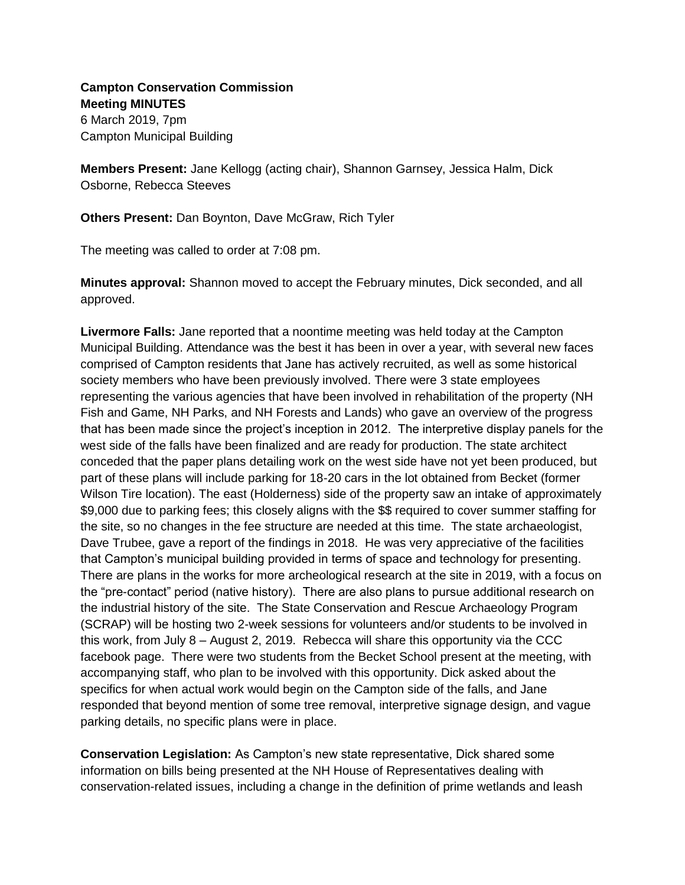## **Campton Conservation Commission Meeting MINUTES**

6 March 2019, 7pm Campton Municipal Building

**Members Present:** Jane Kellogg (acting chair), Shannon Garnsey, Jessica Halm, Dick Osborne, Rebecca Steeves

**Others Present:** Dan Boynton, Dave McGraw, Rich Tyler

The meeting was called to order at 7:08 pm.

**Minutes approval:** Shannon moved to accept the February minutes, Dick seconded, and all approved.

**Livermore Falls:** Jane reported that a noontime meeting was held today at the Campton Municipal Building. Attendance was the best it has been in over a year, with several new faces comprised of Campton residents that Jane has actively recruited, as well as some historical society members who have been previously involved. There were 3 state employees representing the various agencies that have been involved in rehabilitation of the property (NH Fish and Game, NH Parks, and NH Forests and Lands) who gave an overview of the progress that has been made since the project's inception in 2012. The interpretive display panels for the west side of the falls have been finalized and are ready for production. The state architect conceded that the paper plans detailing work on the west side have not yet been produced, but part of these plans will include parking for 18-20 cars in the lot obtained from Becket (former Wilson Tire location). The east (Holderness) side of the property saw an intake of approximately \$9,000 due to parking fees; this closely aligns with the \$\$ required to cover summer staffing for the site, so no changes in the fee structure are needed at this time. The state archaeologist, Dave Trubee, gave a report of the findings in 2018. He was very appreciative of the facilities that Campton's municipal building provided in terms of space and technology for presenting. There are plans in the works for more archeological research at the site in 2019, with a focus on the "pre-contact" period (native history). There are also plans to pursue additional research on the industrial history of the site. The State Conservation and Rescue Archaeology Program (SCRAP) will be hosting two 2-week sessions for volunteers and/or students to be involved in this work, from July  $8 -$  August 2, 2019. Rebecca will share this opportunity via the CCC facebook page. There were two students from the Becket School present at the meeting, with accompanying staff, who plan to be involved with this opportunity. Dick asked about the specifics for when actual work would begin on the Campton side of the falls, and Jane responded that beyond mention of some tree removal, interpretive signage design, and vague parking details, no specific plans were in place.

**Conservation Legislation:** As Campton's new state representative, Dick shared some information on bills being presented at the NH House of Representatives dealing with conservation-related issues, including a change in the definition of prime wetlands and leash